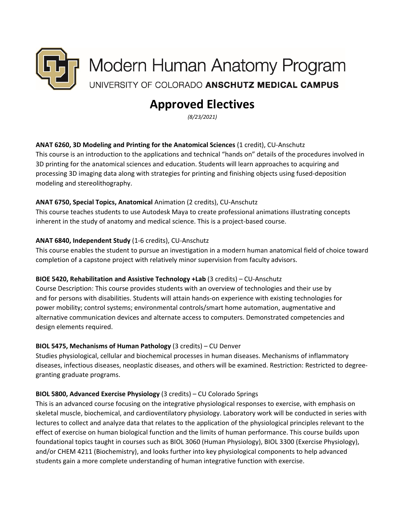

# **Approved Electives**

*(8/23/2021)*

## **ANAT 6260, 3D Modeling and Printing for the Anatomical Sciences** (1 credit), CU-Anschutz

This course is an introduction to the applications and technical "hands on" details of the procedures involved in 3D printing for the anatomical sciences and education. Students will learn approaches to acquiring and processing 3D imaging data along with strategies for printing and finishing objects using fused-deposition modeling and stereolithography.

#### **ANAT 6750, Special Topics, Anatomical** Animation (2 credits), CU-Anschutz

This course teaches students to use Autodesk Maya to create professional animations illustrating concepts inherent in the study of anatomy and medical science. This is a project-based course.

#### **ANAT 6840, Independent Study** (1-6 credits), CU-Anschutz

This course enables the student to pursue an investigation in a modern human anatomical field of choice toward completion of a capstone project with relatively minor supervision from faculty advisors.

#### **BIOE 5420, Rehabilitation and Assistive Technology +Lab** (3 credits) – CU-Anschutz

Course Description: This course provides students with an overview of technologies and their use by and for persons with disabilities. Students will attain hands-on experience with existing technologies for power mobility; control systems; environmental controls/smart home automation, augmentative and alternative communication devices and alternate access to computers. Demonstrated competencies and design elements required.

## **BIOL 5475, Mechanisms of Human Pathology** (3 credits) – CU Denver

Studies physiological, cellular and biochemical processes in human diseases. Mechanisms of inflammatory diseases, infectious diseases, neoplastic diseases, and others will be examined. Restriction: Restricted to degreegranting graduate programs.

#### **BIOL 5800, Advanced Exercise Physiology** (3 credits) – CU Colorado Springs

This is an advanced course focusing on the integrative physiological responses to exercise, with emphasis on skeletal muscle, biochemical, and cardioventilatory physiology. Laboratory work will be conducted in series with lectures to collect and analyze data that relates to the application of the physiological principles relevant to the effect of exercise on human biological function and the limits of human performance. This course builds upon foundational topics taught in courses such as BIOL 3060 (Human Physiology), BIOL 3300 (Exercise Physiology), and/or CHEM 4211 (Biochemistry), and looks further into key physiological components to help advanced students gain a more complete understanding of human integrative function with exercise.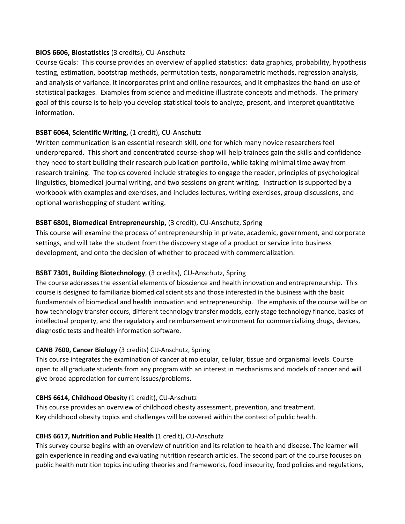## **BIOS 6606, Biostatistics** (3 credits), CU-Anschutz

Course Goals: This course provides an overview of applied statistics: data graphics, probability, hypothesis testing, estimation, bootstrap methods, permutation tests, nonparametric methods, regression analysis, and analysis of variance. It incorporates print and online resources, and it emphasizes the hand-on use of statistical packages. Examples from science and medicine illustrate concepts and methods. The primary goal of this course is to help you develop statistical tools to analyze, present, and interpret quantitative information.

## **BSBT 6064, Scientific Writing,** (1 credit), CU-Anschutz

Written communication is an essential research skill, one for which many novice researchers feel underprepared. This short and concentrated course-shop will help trainees gain the skills and confidence they need to start building their research publication portfolio, while taking minimal time away from research training. The topics covered include strategies to engage the reader, principles of psychological linguistics, biomedical journal writing, and two sessions on grant writing. Instruction is supported by a workbook with examples and exercises, and includes lectures, writing exercises, group discussions, and optional workshopping of student writing.

## **BSBT 6801, Biomedical Entrepreneurship,** (3 credit), CU-Anschutz, Spring

This course will examine the process of entrepreneurship in private, academic, government, and corporate settings, and will take the student from the discovery stage of a product or service into business development, and onto the decision of whether to proceed with commercialization.

## **BSBT 7301, Building Biotechnology**, (3 credits), CU-Anschutz, Spring

The course addresses the essential elements of bioscience and health innovation and entrepreneurship. This course is designed to familiarize biomedical scientists and those interested in the business with the basic fundamentals of biomedical and health innovation and entrepreneurship. The emphasis of the course will be on how technology transfer occurs, different technology transfer models, early stage technology finance, basics of intellectual property, and the regulatory and reimbursement environment for commercializing drugs, devices, diagnostic tests and health information software.

## **CANB 7600, Cancer Biology** (3 credits) CU-Anschutz, Spring

This course integrates the examination of cancer at molecular, cellular, tissue and organismal levels. Course open to all graduate students from any program with an interest in mechanisms and models of cancer and will give broad appreciation for current issues/problems.

## **CBHS 6614, Childhood Obesity** (1 credit), CU-Anschutz

This course provides an overview of childhood obesity assessment, prevention, and treatment. Key childhood obesity topics and challenges will be covered within the context of public health.

## **CBHS 6617, Nutrition and Public Health** (1 credit), CU-Anschutz

This survey course begins with an overview of nutrition and its relation to health and disease. The learner will gain experience in reading and evaluating nutrition research articles. The second part of the course focuses on public health nutrition topics including theories and frameworks, food insecurity, food policies and regulations,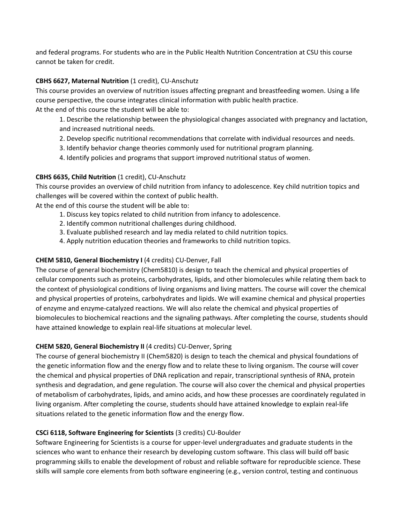and federal programs. For students who are in the Public Health Nutrition Concentration at CSU this course cannot be taken for credit.

## **CBHS 6627, Maternal Nutrition** (1 credit), CU-Anschutz

This course provides an overview of nutrition issues affecting pregnant and breastfeeding women. Using a life course perspective, the course integrates clinical information with public health practice. At the end of this course the student will be able to:

- 1. Describe the relationship between the physiological changes associated with pregnancy and lactation, and increased nutritional needs.
- 2. Develop specific nutritional recommendations that correlate with individual resources and needs.
- 3. Identify behavior change theories commonly used for nutritional program planning.
- 4. Identify policies and programs that support improved nutritional status of women.

#### **CBHS 6635, Child Nutrition** (1 credit), CU-Anschutz

This course provides an overview of child nutrition from infancy to adolescence. Key child nutrition topics and challenges will be covered within the context of public health.

At the end of this course the student will be able to:

- 1. Discuss key topics related to child nutrition from infancy to adolescence.
- 2. Identify common nutritional challenges during childhood.
- 3. Evaluate published research and lay media related to child nutrition topics.
- 4. Apply nutrition education theories and frameworks to child nutrition topics.

### **CHEM 5810, General Biochemistry I** (4 credits) CU-Denver, Fall

The course of general biochemistry (Chem5810) is design to teach the chemical and physical properties of cellular components such as proteins, carbohydrates, lipids, and other biomolecules while relating them back to the context of physiological conditions of living organisms and living matters. The course will cover the chemical and physical properties of proteins, carbohydrates and lipids. We will examine chemical and physical properties of enzyme and enzyme-catalyzed reactions. We will also relate the chemical and physical properties of biomolecules to biochemical reactions and the signaling pathways. After completing the course, students should have attained knowledge to explain real-life situations at molecular level.

#### **CHEM 5820, General Biochemistry II** (4 credits) CU-Denver, Spring

The course of general biochemistry II (Chem5820) is design to teach the chemical and physical foundations of the genetic information flow and the energy flow and to relate these to living organism. The course will cover the chemical and physical properties of DNA replication and repair, transcriptional synthesis of RNA, protein synthesis and degradation, and gene regulation. The course will also cover the chemical and physical properties of metabolism of carbohydrates, lipids, and amino acids, and how these processes are coordinately regulated in living organism. After completing the course, students should have attained knowledge to explain real-life situations related to the genetic information flow and the energy flow.

## **CSCi 6118, Software Engineering for Scientists** (3 credits) CU-Boulder

Software Engineering for Scientists is a course for upper-level undergraduates and graduate students in the sciences who want to enhance their research by developing custom software. This class will build off basic programming skills to enable the development of robust and reliable software for reproducible science. These skills will sample core elements from both software engineering (e.g., version control, testing and continuous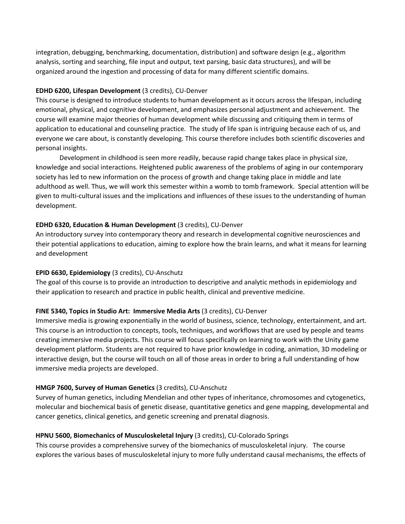integration, debugging, benchmarking, documentation, distribution) and software design (e.g., algorithm analysis, sorting and searching, file input and output, text parsing, basic data structures), and will be organized around the ingestion and processing of data for many different scientific domains.

## **EDHD 6200, Lifespan Development** (3 credits), CU-Denver

This course is designed to introduce students to human development as it occurs across the lifespan, including emotional, physical, and cognitive development, and emphasizes personal adjustment and achievement. The course will examine major theories of human development while discussing and critiquing them in terms of application to educational and counseling practice. The study of life span is intriguing because each of us, and everyone we care about, is constantly developing. This course therefore includes both scientific discoveries and personal insights.

Development in childhood is seen more readily, because rapid change takes place in physical size, knowledge and social interactions. Heightened public awareness of the problems of aging in our contemporary society has led to new information on the process of growth and change taking place in middle and late adulthood as well. Thus, we will work this semester within a womb to tomb framework. Special attention will be given to multi-cultural issues and the implications and influences of these issues to the understanding of human development.

## **EDHD 6320, Education & Human Development** (3 credits), CU-Denver

An introductory survey into contemporary theory and research in developmental cognitive neurosciences and their potential applications to education, aiming to explore how the brain learns, and what it means for learning and development

# **EPID 6630, Epidemiology** (3 credits), CU-Anschutz

The goal of this course is to provide an introduction to descriptive and analytic methods in epidemiology and their application to research and practice in public health, clinical and preventive medicine.

# **FINE 5340, Topics in Studio Art: Immersive Media Arts** (3 credits), CU-Denver

Immersive media is growing exponentially in the world of business, science, technology, entertainment, and art. This course is an introduction to concepts, tools, techniques, and workflows that are used by people and teams creating immersive media projects. This course will focus specifically on learning to work with the Unity game development platform. Students are not required to have prior knowledge in coding, animation, 3D modeling or interactive design, but the course will touch on all of those areas in order to bring a full understanding of how immersive media projects are developed.

# **HMGP 7600, Survey of Human Genetics** (3 credits), CU-Anschutz

Survey of human genetics, including Mendelian and other types of inheritance, chromosomes and cytogenetics, molecular and biochemical basis of genetic disease, quantitative genetics and gene mapping, developmental and cancer genetics, clinical genetics, and genetic screening and prenatal diagnosis.

# **HPNU 5600, Biomechanics of Musculoskeletal Injury** (3 credits), CU-Colorado Springs

This course provides a comprehensive survey of the biomechanics of musculoskeletal injury. The course explores the various bases of musculoskeletal injury to more fully understand causal mechanisms, the effects of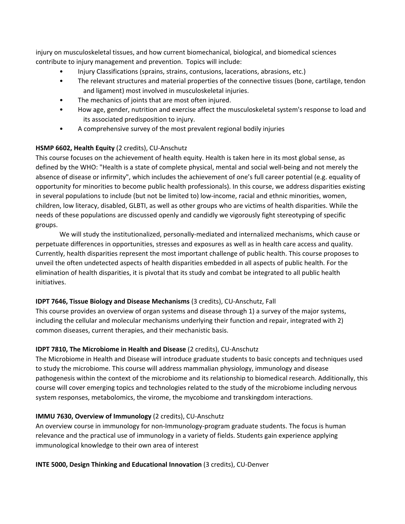injury on musculoskeletal tissues, and how current biomechanical, biological, and biomedical sciences contribute to injury management and prevention. Topics will include:

- Injury Classifications (sprains, strains, contusions, lacerations, abrasions, etc.)
- The relevant structures and material properties of the connective tissues (bone, cartilage, tendon and ligament) most involved in musculoskeletal injuries.
- The mechanics of joints that are most often injured.
- How age, gender, nutrition and exercise affect the musculoskeletal system's response to load and its associated predisposition to injury.
- A comprehensive survey of the most prevalent regional bodily injuries

## **HSMP 6602, Health Equity** (2 credits), CU-Anschutz

This course focuses on the achievement of health equity. Health is taken here in its most global sense, as defined by the WHO: "Health is a state of complete physical, mental and social well-being and not merely the absence of disease or infirmity", which includes the achievement of one's full career potential (e.g. equality of opportunity for minorities to become public health professionals). In this course, we address disparities existing in several populations to include (but not be limited to) low-income, racial and ethnic minorities, women, children, low literacy, disabled, GLBTI, as well as other groups who are victims of health disparities. While the needs of these populations are discussed openly and candidly we vigorously fight stereotyping of specific groups.

We will study the institutionalized, personally-mediated and internalized mechanisms, which cause or perpetuate differences in opportunities, stresses and exposures as well as in health care access and quality. Currently, health disparities represent the most important challenge of public health. This course proposes to unveil the often undetected aspects of health disparities embedded in all aspects of public health. For the elimination of health disparities, it is pivotal that its study and combat be integrated to all public health initiatives.

## **IDPT 7646, Tissue Biology and Disease Mechanisms** (3 credits), CU-Anschutz, Fall

This course provides an overview of organ systems and disease through 1) a survey of the major systems, including the cellular and molecular mechanisms underlying their function and repair, integrated with 2) common diseases, current therapies, and their mechanistic basis.

## **IDPT 7810, The Microbiome in Health and Disease** (2 credits), CU-Anschutz

The Microbiome in Health and Disease will introduce graduate students to basic concepts and techniques used to study the microbiome. This course will address mammalian physiology, immunology and disease pathogenesis within the context of the microbiome and its relationship to biomedical research. Additionally, this course will cover emerging topics and technologies related to the study of the microbiome including nervous system responses, metabolomics, the virome, the mycobiome and transkingdom interactions.

## **IMMU 7630, Overview of Immunology** (2 credits), CU-Anschutz

An overview course in immunology for non-Immunology-program graduate students. The focus is human relevance and the practical use of immunology in a variety of fields. Students gain experience applying immunological knowledge to their own area of interest

## **INTE 5000, Design Thinking and Educational Innovation** (3 credits), CU-Denver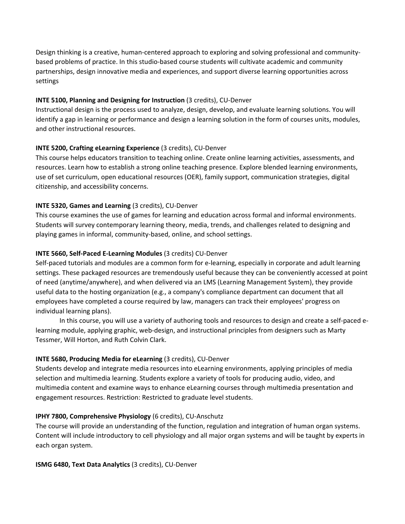Design thinking is a creative, human-centered approach to exploring and solving professional and communitybased problems of practice. In this studio-based course students will cultivate academic and community partnerships, design innovative media and experiences, and support diverse learning opportunities across settings

#### **INTE 5100, Planning and Designing for Instruction** (3 credits), CU-Denver

Instructional design is the process used to analyze, design, develop, and evaluate learning solutions. You will identify a gap in learning or performance and design a learning solution in the form of courses units, modules, and other instructional resources.

#### **INTE 5200, Crafting eLearning Experience** (3 credits), CU-Denver

This course helps educators transition to teaching online. Create online learning activities, assessments, and resources. Learn how to establish a strong online teaching presence. Explore blended learning environments, use of set curriculum, open educational resources (OER), family support, communication strategies, digital citizenship, and accessibility concerns.

#### **INTE 5320, Games and Learning** (3 credits), CU-Denver

This course examines the use of games for learning and education across formal and informal environments. Students will survey contemporary learning theory, media, trends, and challenges related to designing and playing games in informal, community-based, online, and school settings.

#### **INTE 5660, Self-Paced E-Learning Modules** (3 credits) CU-Denver

Self-paced tutorials and modules are a common form for e-learning, especially in corporate and adult learning settings. These packaged resources are tremendously useful because they can be conveniently accessed at point of need (anytime/anywhere), and when delivered via an LMS (Learning Management System), they provide useful data to the hosting organization (e.g., a company's compliance department can document that all employees have completed a course required by law, managers can track their employees' progress on individual learning plans).

In this course, you will use a variety of authoring tools and resources to design and create a self-paced elearning module, applying graphic, web-design, and instructional principles from designers such as Marty Tessmer, Will Horton, and Ruth Colvin Clark.

#### **INTE 5680, Producing Media for eLearning** (3 credits), CU-Denver

Students develop and integrate media resources into eLearning environments, applying principles of media selection and multimedia learning. Students explore a variety of tools for producing audio, video, and multimedia content and examine ways to enhance eLearning courses through multimedia presentation and engagement resources. Restriction: Restricted to graduate level students.

#### **IPHY 7800, Comprehensive Physiology** (6 credits), CU-Anschutz

The course will provide an understanding of the function, regulation and integration of human organ systems. Content will include introductory to cell physiology and all major organ systems and will be taught by experts in each organ system.

#### **ISMG 6480, Text Data Analytics** (3 credits), CU-Denver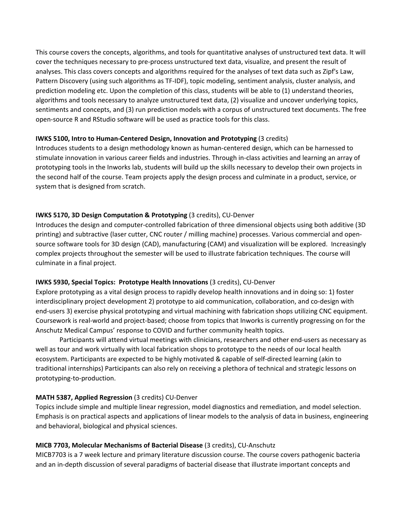This course covers the concepts, algorithms, and tools for quantitative analyses of unstructured text data. It will cover the techniques necessary to pre-process unstructured text data, visualize, and present the result of analyses. This class covers concepts and algorithms required for the analyses of text data such as Zipf's Law, Pattern Discovery (using such algorithms as TF-IDF), topic modeling, sentiment analysis, cluster analysis, and prediction modeling etc. Upon the completion of this class, students will be able to (1) understand theories, algorithms and tools necessary to analyze unstructured text data, (2) visualize and uncover underlying topics, sentiments and concepts, and (3) run prediction models with a corpus of unstructured text documents. The free open-source R and RStudio software will be used as practice tools for this class.

#### **IWKS 5100, Intro to Human-Centered Design, Innovation and Prototyping** (3 credits)

Introduces students to a design methodology known as human-centered design, which can be harnessed to stimulate innovation in various career fields and industries. Through in-class activities and learning an array of prototyping tools in the Inworks lab, students will build up the skills necessary to develop their own projects in the second half of the course. Team projects apply the design process and culminate in a product, service, or system that is designed from scratch.

## **IWKS 5170, 3D Design Computation & Prototyping (3 credits), CU-Denver**

Introduces the design and computer-controlled fabrication of three dimensional objects using both additive (3D printing) and subtractive (laser cutter, CNC router / milling machine) processes. Various commercial and opensource software tools for 3D design (CAD), manufacturing (CAM) and visualization will be explored. Increasingly complex projects throughout the semester will be used to illustrate fabrication techniques. The course will culminate in a final project.

## **IWKS 5930, Special Topics: Prototype Health Innovations** (3 credits), CU-Denver

Explore prototyping as a vital design process to rapidly develop health innovations and in doing so: 1) foster interdisciplinary project development 2) prototype to aid communication, collaboration, and co-design with end-users 3) exercise physical prototyping and virtual machining with fabrication shops utilizing CNC equipment. Coursework is real-world and project-based; choose from topics that Inworks is currently progressing on for the Anschutz Medical Campus' response to COVID and further community health topics.

Participants will attend virtual meetings with clinicians, researchers and other end-users as necessary as well as tour and work virtually with local fabrication shops to prototype to the needs of our local health ecosystem. Participants are expected to be highly motivated & capable of self-directed learning (akin to traditional internships) Participants can also rely on receiving a plethora of technical and strategic lessons on prototyping-to-production.

## **MATH 5387, Applied Regression** (3 credits) CU-Denver

Topics include simple and multiple linear regression, model diagnostics and remediation, and model selection. Emphasis is on practical aspects and applications of linear models to the analysis of data in business, engineering and behavioral, biological and physical sciences.

## **MICB 7703, Molecular Mechanisms of Bacterial Disease** (3 credits), CU-Anschutz

MICB7703 is a 7 week lecture and primary literature discussion course. The course covers pathogenic bacteria and an in-depth discussion of several paradigms of bacterial disease that illustrate important concepts and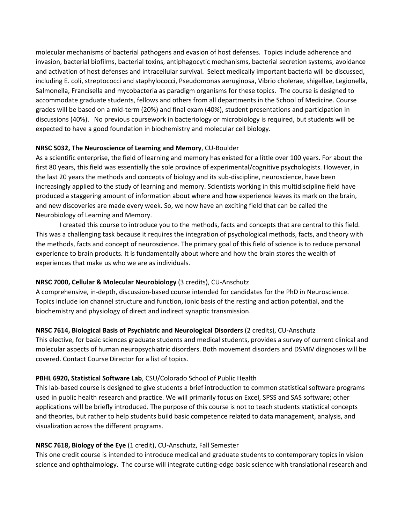molecular mechanisms of bacterial pathogens and evasion of host defenses. Topics include adherence and invasion, bacterial biofilms, bacterial toxins, antiphagocytic mechanisms, bacterial secretion systems, avoidance and activation of host defenses and intracellular survival. Select medically important bacteria will be discussed, including E. coli, streptococci and staphylococci, Pseudomonas aeruginosa, Vibrio cholerae, shigellae, Legionella, Salmonella, Francisella and mycobacteria as paradigm organisms for these topics. The course is designed to accommodate graduate students, fellows and others from all departments in the School of Medicine. Course grades will be based on a mid-term (20%) and final exam (40%), student presentations and participation in discussions (40%). No previous coursework in bacteriology or microbiology is required, but students will be expected to have a good foundation in biochemistry and molecular cell biology.

#### **NRSC 5032, The Neuroscience of Learning and Memory**, CU-Boulder

As a scientific enterprise, the field of learning and memory has existed for a little over 100 years. For about the first 80 years, this field was essentially the sole province of experimental/cognitive psychologists. However, in the last 20 years the methods and concepts of biology and its sub-discipline, neuroscience, have been increasingly applied to the study of learning and memory. Scientists working in this multidiscipline field have produced a staggering amount of information about where and how experience leaves its mark on the brain, and new discoveries are made every week. So, we now have an exciting field that can be called the Neurobiology of Learning and Memory.

I created this course to introduce you to the methods, facts and concepts that are central to this field. This was a challenging task because it requires the integration of psychological methods, facts, and theory with the methods, facts and concept of neuroscience. The primary goal of this field of science is to reduce personal experience to brain products. It is fundamentally about where and how the brain stores the wealth of experiences that make us who we are as individuals.

## **NRSC 7000, Cellular & Molecular Neurobiology** (3 credits), CU-Anschutz

A comprehensive, in-depth, discussion-based course intended for candidates for the PhD in Neuroscience. Topics include ion channel structure and function, ionic basis of the resting and action potential, and the biochemistry and physiology of direct and indirect synaptic transmission.

## **NRSC 7614, Biological Basis of Psychiatric and Neurological Disorders** (2 credits), CU-Anschutz

This elective, for basic sciences graduate students and medical students, provides a survey of current clinical and molecular aspects of human neuropsychiatric disorders. Both movement disorders and DSMIV diagnoses will be covered. Contact Course Director for a list of topics.

## **PBHL 6920, Statistical Software Lab**, CSU/Colorado School of Public Health

This lab-based course is designed to give students a brief introduction to common statistical software programs used in public health research and practice. We will primarily focus on Excel, SPSS and SAS software; other applications will be briefly introduced. The purpose of this course is not to teach students statistical concepts and theories, but rather to help students build basic competence related to data management, analysis, and visualization across the different programs.

## **NRSC 7618, Biology of the Eye** (1 credit), CU-Anschutz, Fall Semester

This one credit course is intended to introduce medical and graduate students to contemporary topics in vision science and ophthalmology. The course will integrate cutting-edge basic science with translational research and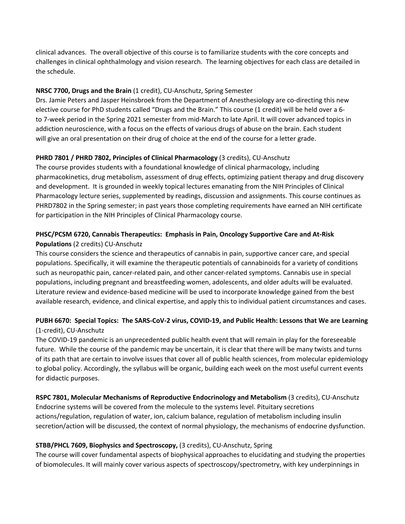clinical advances. The overall objective of this course is to familiarize students with the core concepts and challenges in clinical ophthalmology and vision research. The learning objectives for each class are detailed in the schedule.

## **NRSC 7700, Drugs and the Brain** (1 credit), CU-Anschutz, Spring Semester

Drs. Jamie Peters and Jasper Heinsbroek from the Department of Anesthesiology are co-directing this new elective course for PhD students called "Drugs and the Brain." This course (1 credit) will be held over a 6 to 7-week period in the Spring 2021 semester from mid-March to late April. It will cover advanced topics in addiction neuroscience, with a focus on the effects of various drugs of abuse on the brain. Each student will give an oral presentation on their drug of choice at the end of the course for a letter grade.

# **PHRD 7801 / PHRD 7802, Principles of Clinical Pharmacology** (3 credits), CU-Anschutz

The course provides students with a foundational knowledge of clinical pharmacology, including pharmacokinetics, drug metabolism, assessment of drug effects, optimizing patient therapy and drug discovery and development. It is grounded in weekly topical lectures emanating from the NIH Principles of Clinical Pharmacology lecture series, supplemented by readings, discussion and assignments. This course continues as PHRD7802 in the Spring semester; in past years those completing requirements have earned an NIH certificate for participation in the NIH Principles of Clinical Pharmacology course.

## **PHSC/PCSM 6720, Cannabis Therapeutics: Emphasis in Pain, Oncology Supportive Care and At-Risk Populations** (2 credits) CU-Anschutz

This course considers the science and therapeutics of cannabis in pain, supportive cancer care, and special populations. Specifically, it will examine the therapeutic potentials of cannabinoids for a variety of conditions such as neuropathic pain, cancer-related pain, and other cancer-related symptoms. Cannabis use in special populations, including pregnant and breastfeeding women, adolescents, and older adults will be evaluated. Literature review and evidence-based medicine will be used to incorporate knowledge gained from the best available research, evidence, and clinical expertise, and apply this to individual patient circumstances and cases.

# **PUBH 6670: Special Topics: The SARS-CoV-2 virus, COVID-19, and Public Health: Lessons that We are Learning** (1-credit), CU-Anschutz

The COVID-19 pandemic is an unprecedented public health event that will remain in play for the foreseeable future. While the course of the pandemic may be uncertain, it is clear that there will be many twists and turns of its path that are certain to involve issues that cover all of public health sciences, from molecular epidemiology to global policy. Accordingly, the syllabus will be organic, building each week on the most useful current events for didactic purposes.

# **RSPC 7801, Molecular Mechanisms of Reproductive Endocrinology and Metabolism** (3 credits), CU-Anschutz

Endocrine systems will be covered from the molecule to the systems level. Pituitary secretions actions/regulation, regulation of water, ion, calcium balance, regulation of metabolism including insulin secretion/action will be discussed, the context of normal physiology, the mechanisms of endocrine dysfunction.

# **STBB/PHCL 7609, Biophysics and Spectroscopy,** (3 credits), CU-Anschutz, Spring

The course will cover fundamental aspects of biophysical approaches to elucidating and studying the properties of biomolecules. It will mainly cover various aspects of spectroscopy/spectrometry, with key underpinnings in